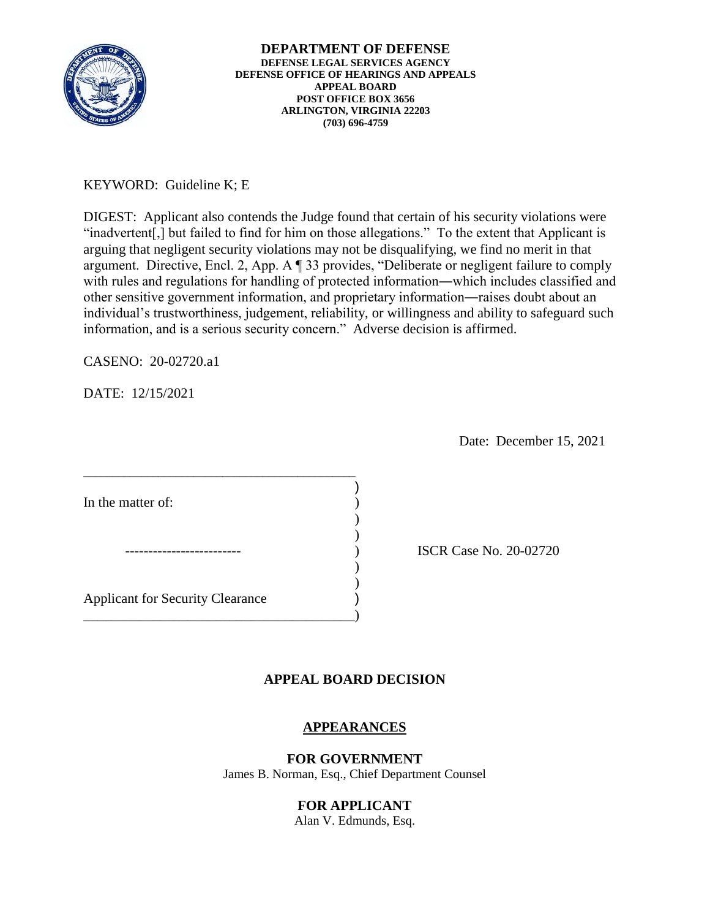

# KEYWORD: Guideline K; E

 information, and is a serious security concern." Adverse decision is affirmed. DIGEST: Applicant also contends the Judge found that certain of his security violations were "inadvertent[,] but failed to find for him on those allegations." To the extent that Applicant is arguing that negligent security violations may not be disqualifying, we find no merit in that argument. Directive, Encl. 2, App. A ¶ 33 provides, "Deliberate or negligent failure to comply with rules and regulations for handling of protected information―which includes classified and other sensitive government information, and proprietary information―raises doubt about an individual's trustworthiness, judgement, reliability, or willingness and ability to safeguard such

CASENO: 20-02720.a1

DATE: 12/15/2021

Date: December 15, 2021

ISCR Case No. 20-02720

## **APPEAL BOARD DECISION**

## **APPEARANCES**

#### **FOR GOVERNMENT**

James B. Norman, Esq., Chief Department Counsel

## **FOR APPLICANT**

Alan V. Edmunds, Esq.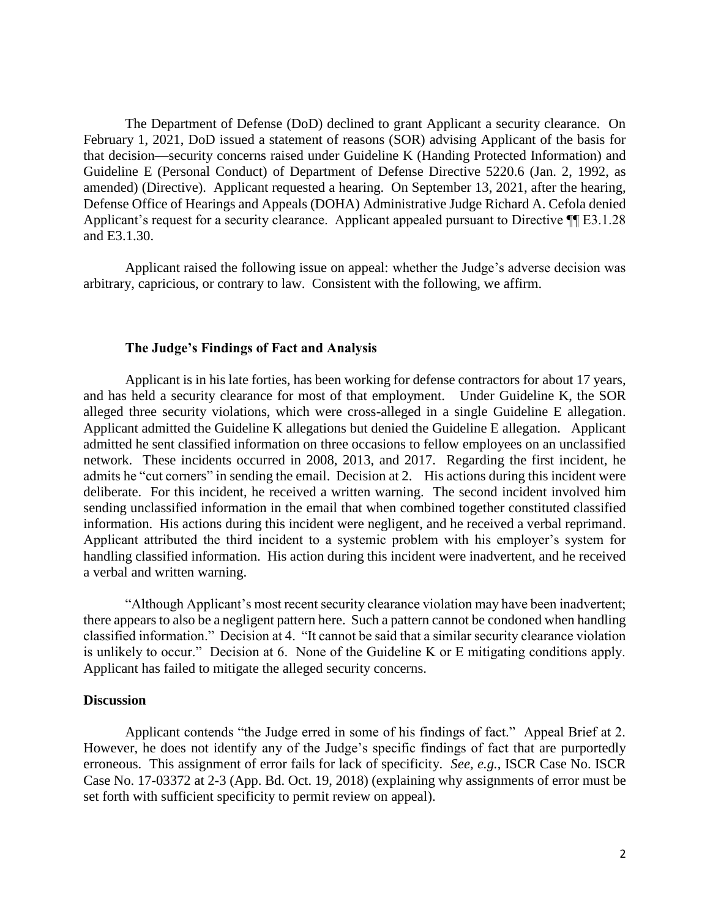The Department of Defense (DoD) declined to grant Applicant a security clearance. On February 1, 2021, DoD issued a statement of reasons (SOR) advising Applicant of the basis for that decision—security concerns raised under Guideline K (Handing Protected Information) and Guideline E (Personal Conduct) of Department of Defense Directive 5220.6 (Jan. 2, 1992, as amended) (Directive). Applicant requested a hearing. On September 13, 2021, after the hearing, Defense Office of Hearings and Appeals (DOHA) Administrative Judge Richard A. Cefola denied Applicant's request for a security clearance. Applicant appealed pursuant to Directive  $\P$ [E3.1.28] and E3.1.30.

 Applicant raised the following issue on appeal: whether the Judge's adverse decision was arbitrary, capricious, or contrary to law. Consistent with the following, we affirm.

#### **The Judge's Findings of Fact and Analysis**

 Applicant is in his late forties, has been working for defense contractors for about 17 years, and has held a security clearance for most of that employment. Under Guideline K, the SOR alleged three security violations, which were cross-alleged in a single Guideline E allegation. network. These incidents occurred in 2008, 2013, and 2017. Regarding the first incident, he admits he "cut corners" in sending the email. Decision at 2. His actions during this incident were deliberate. For this incident, he received a written warning. The second incident involved him information. His actions during this incident were negligent, and he received a verbal reprimand. information. His actions during this incident were negligent, and he received a verbal reprimand. Applicant attributed the third incident to a systemic problem with his employer's system for Applicant admitted the Guideline K allegations but denied the Guideline E allegation. Applicant admitted he sent classified information on three occasions to fellow employees on an unclassified sending unclassified information in the email that when combined together constituted classified handling classified information. His action during this incident were inadvertent, and he received a verbal and written warning.

 "Although Applicant's most recent security clearance violation may have been inadvertent; there appears to also be a negligent pattern here. Such a pattern cannot be condoned when handling classified information." Decision at 4. "It cannot be said that a similar security clearance violation is unlikely to occur." Decision at 6. None of the Guideline K or E mitigating conditions apply. Applicant has failed to mitigate the alleged security concerns.

#### **Discussion**

 Applicant contends "the Judge erred in some of his findings of fact." Appeal Brief at 2. erroneous. This assignment of error fails for lack of specificity. *See, e.g.*, ISCR Case No. ISCR Case No. 17-03372 at 2-3 (App. Bd. Oct. 19, 2018) (explaining why assignments of error must be However, he does not identify any of the Judge's specific findings of fact that are purportedly set forth with sufficient specificity to permit review on appeal).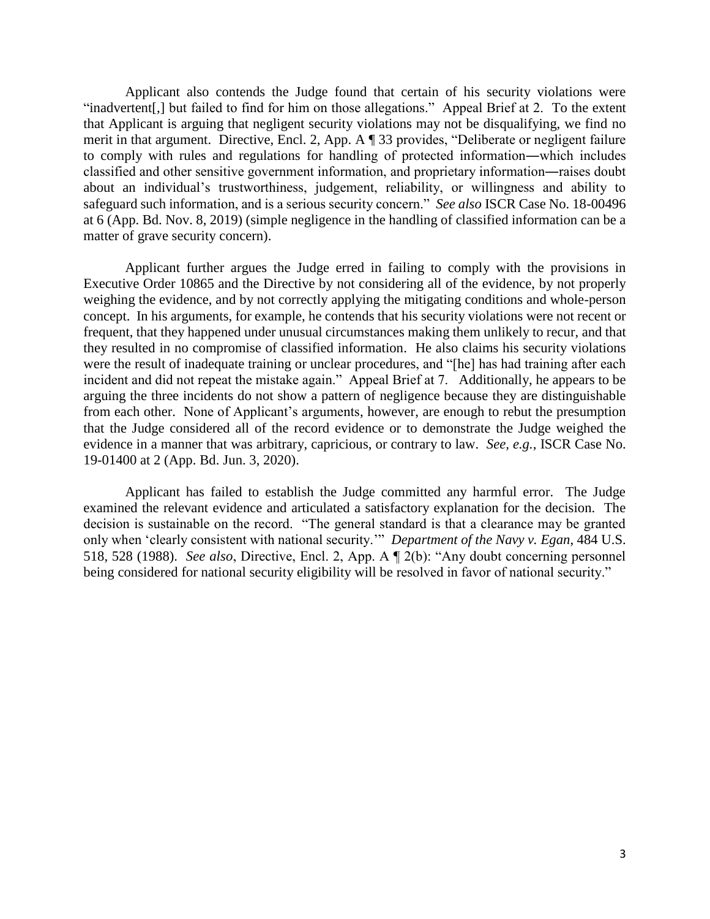Applicant also contends the Judge found that certain of his security violations were "inadvertent[,] but failed to find for him on those allegations." Appeal Brief at 2. To the extent that Applicant is arguing that negligent security violations may not be disqualifying, we find no classified and other sensitive government information, and proprietary information―raises doubt safeguard such information, and is a serious security concern." *See also* ISCR Case No. 18-00496 at 6 (App. Bd. Nov. 8, 2019) (simple negligence in the handling of classified information can be a merit in that argument. Directive, Encl. 2, App. A ¶ 33 provides, "Deliberate or negligent failure to comply with rules and regulations for handling of protected information―which includes about an individual's trustworthiness, judgement, reliability, or willingness and ability to matter of grave security concern).

 Applicant further argues the Judge erred in failing to comply with the provisions in Executive Order 10865 and the Directive by not considering all of the evidence, by not properly they resulted in no compromise of classified information. He also claims his security violations were the result of inadequate training or unclear procedures, and "[he] has had training after each arguing the three incidents do not show a pattern of negligence because they are distinguishable evidence in a manner that was arbitrary, capricious, or contrary to law. *See, e.g.*, ISCR Case No. weighing the evidence, and by not correctly applying the mitigating conditions and whole-person concept. In his arguments, for example, he contends that his security violations were not recent or frequent, that they happened under unusual circumstances making them unlikely to recur, and that incident and did not repeat the mistake again." Appeal Brief at 7. Additionally, he appears to be from each other. None of Applicant's arguments, however, are enough to rebut the presumption that the Judge considered all of the record evidence or to demonstrate the Judge weighed the 19-01400 at 2 (App. Bd. Jun. 3, 2020).

 Applicant has failed to establish the Judge committed any harmful error. The Judge examined the relevant evidence and articulated a satisfactory explanation for the decision. The decision is sustainable on the record. "The general standard is that a clearance may be granted only when 'clearly consistent with national security.'" *Department of the Navy v. Egan*, 484 U.S. 518, 528 (1988). *See also*, Directive, Encl. 2, App. A ¶ 2(b): "Any doubt concerning personnel being considered for national security eligibility will be resolved in favor of national security."